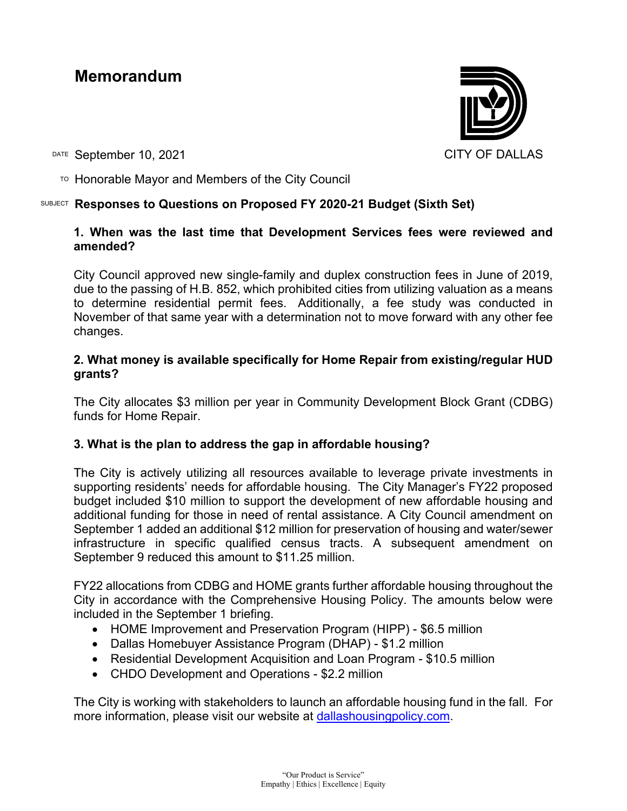# **Memorandum**

DATE September 10, 2021 CITY OF DALLAS

 $\overline{P}$  Honorable Mayor and Members of the City Council

# SUBJECT **Responses to Questions on Proposed FY 2020-21 Budget (Sixth Set)**

# **1. When was the last time that Development Services fees were reviewed and amended?**

City Council approved new single-family and duplex construction fees in June of 2019, due to the passing of H.B. 852, which prohibited cities from utilizing valuation as a means to determine residential permit fees. Additionally, a fee study was conducted in November of that same year with a determination not to move forward with any other fee changes.

#### **2. What money is available specifically for Home Repair from existing/regular HUD grants?**

The City allocates \$3 million per year in Community Development Block Grant (CDBG) funds for Home Repair.

#### **3. What is the plan to address the gap in affordable housing?**

The City is actively utilizing all resources available to leverage private investments in supporting residents' needs for affordable housing. The City Manager's FY22 proposed budget included \$10 million to support the development of new affordable housing and additional funding for those in need of rental assistance. A City Council amendment on September 1 added an additional \$12 million for preservation of housing and water/sewer infrastructure in specific qualified census tracts. A subsequent amendment on September 9 reduced this amount to \$11.25 million.

FY22 allocations from CDBG and HOME grants further affordable housing throughout the City in accordance with the Comprehensive Housing Policy. The amounts below were included in the September 1 briefing.

- HOME Improvement and Preservation Program (HIPP) \$6.5 million
- Dallas Homebuyer Assistance Program (DHAP) \$1.2 million
- Residential Development Acquisition and Loan Program \$10.5 million
- CHDO Development and Operations \$2.2 million

The City is working with stakeholders to launch an affordable housing fund in the fall. For more information, please visit our website at [dallashousingpolicy.com.](https://dallascityhall.com/departments/housing-neighborhood-revitalization/Pages/default.aspx)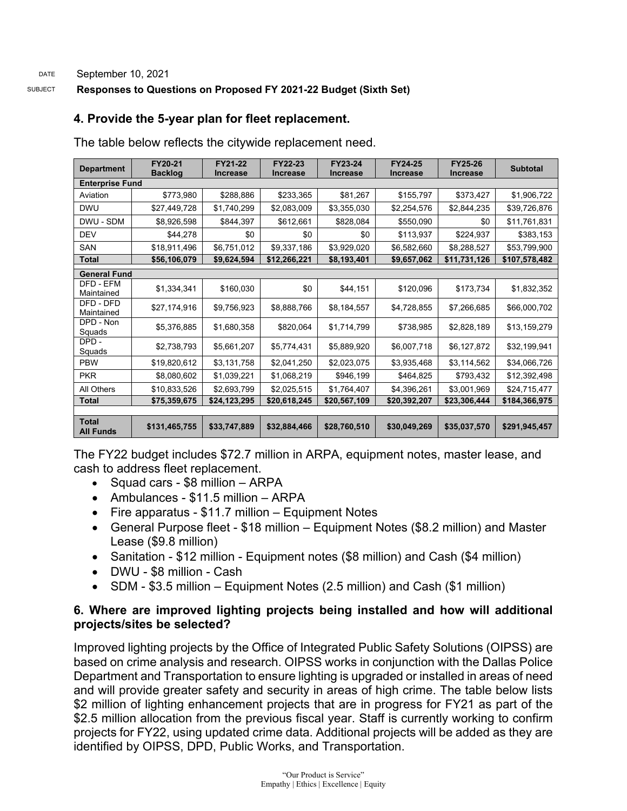#### SUBJECT **Responses to Questions on Proposed FY 2021-22 Budget (Sixth Set)**

# **4. Provide the 5-year plan for fleet replacement.**

The table below reflects the citywide replacement need.

| <b>Department</b>                | FY20-21<br><b>Backlog</b> | FY21-22<br><b>Increase</b> | FY22-23<br><b>Increase</b> | FY23-24<br><b>Increase</b> | FY24-25<br><b>Increase</b> | <b>FY25-26</b><br><b>Increase</b> | <b>Subtotal</b> |  |  |  |  |  |
|----------------------------------|---------------------------|----------------------------|----------------------------|----------------------------|----------------------------|-----------------------------------|-----------------|--|--|--|--|--|
| <b>Enterprise Fund</b>           |                           |                            |                            |                            |                            |                                   |                 |  |  |  |  |  |
| Aviation                         | \$773,980                 | \$288,886                  | \$233,365                  | \$81,267                   | \$155,797                  | \$373,427                         | \$1,906,722     |  |  |  |  |  |
| <b>DWU</b>                       | \$27,449,728              | \$1,740,299                | \$2,083,009                | \$3,355,030                | \$2,254,576                | \$2,844,235                       | \$39,726,876    |  |  |  |  |  |
| DWU - SDM                        | \$8,926,598               | \$844,397                  | \$612,661                  | \$828,084                  | \$550,090                  | \$0                               | \$11,761,831    |  |  |  |  |  |
| <b>DEV</b>                       | \$44,278                  | \$0                        | \$0                        | \$0                        | \$113,937                  | \$224,937                         | \$383,153       |  |  |  |  |  |
| <b>SAN</b>                       | \$18,911,496              | \$6,751,012                | \$9,337,186                | \$3,929,020                | \$6,582,660                | \$8,288,527                       | \$53,799,900    |  |  |  |  |  |
| <b>Total</b>                     | \$56,106,079              | \$9,624,594                | \$12,266,221               | \$8,193,401                | \$9,657,062                | \$11,731,126                      | \$107,578,482   |  |  |  |  |  |
| <b>General Fund</b>              |                           |                            |                            |                            |                            |                                   |                 |  |  |  |  |  |
| DFD - EFM<br>Maintained          | \$1,334,341               | \$160,030                  | \$0                        | \$44,151                   | \$120,096                  | \$173,734                         | \$1,832,352     |  |  |  |  |  |
| DFD - DFD<br>Maintained          | \$27,174,916              | \$9,756,923                | \$8,888,766                | \$8,184,557                | \$4,728,855                | \$7,266,685                       | \$66,000,702    |  |  |  |  |  |
| DPD - Non<br>Squads              | \$5,376,885               | \$1,680,358                | \$820,064                  | \$1.714.799                | \$738,985                  | \$2,828,189                       | \$13,159,279    |  |  |  |  |  |
| DPD-<br>Squads                   | \$2,738,793               | \$5,661,207                | \$5,774,431                | \$5,889,920                | \$6,007,718                | \$6,127,872                       | \$32,199,941    |  |  |  |  |  |
| <b>PBW</b>                       | \$19,820,612              | \$3,131,758                | \$2,041,250                | \$2,023,075                | \$3,935,468                | \$3,114,562                       | \$34,066,726    |  |  |  |  |  |
| <b>PKR</b>                       | \$8,080,602               | \$1,039,221                | \$1,068,219                | \$946,199                  | \$464,825                  | \$793,432                         | \$12,392,498    |  |  |  |  |  |
| All Others                       | \$10,833,526              | \$2,693,799                | \$2,025,515                | \$1,764,407                | \$4,396,261                | \$3,001,969                       | \$24,715,477    |  |  |  |  |  |
| <b>Total</b>                     | \$75,359,675              | \$24,123,295               | \$20,618,245               | \$20,567,109               | \$20,392,207               | \$23,306,444                      | \$184,366,975   |  |  |  |  |  |
|                                  |                           |                            |                            |                            |                            |                                   |                 |  |  |  |  |  |
| <b>Total</b><br><b>All Funds</b> | \$131,465,755             | \$33,747,889               | \$32,884,466               | \$28,760,510               | \$30,049,269               | \$35,037,570                      | \$291,945,457   |  |  |  |  |  |

The FY22 budget includes \$72.7 million in ARPA, equipment notes, master lease, and cash to address fleet replacement.

- Squad cars \$8 million ARPA
- Ambulances \$11.5 million ARPA
- Fire apparatus \$11.7 million Equipment Notes
- General Purpose fleet \$18 million Equipment Notes (\$8.2 million) and Master Lease (\$9.8 million)
- Sanitation \$12 million Equipment notes (\$8 million) and Cash (\$4 million)
- DWU \$8 million Cash
- SDM \$3.5 million Equipment Notes (2.5 million) and Cash (\$1 million)

# **6. Where are improved lighting projects being installed and how will additional projects/sites be selected?**

Improved lighting projects by the Office of Integrated Public Safety Solutions (OIPSS) are based on crime analysis and research. OIPSS works in conjunction with the Dallas Police Department and Transportation to ensure lighting is upgraded or installed in areas of need and will provide greater safety and security in areas of high crime. The table below lists \$2 million of lighting enhancement projects that are in progress for FY21 as part of the \$2.5 million allocation from the previous fiscal year. Staff is currently working to confirm projects for FY22, using updated crime data. Additional projects will be added as they are identified by OIPSS, DPD, Public Works, and Transportation.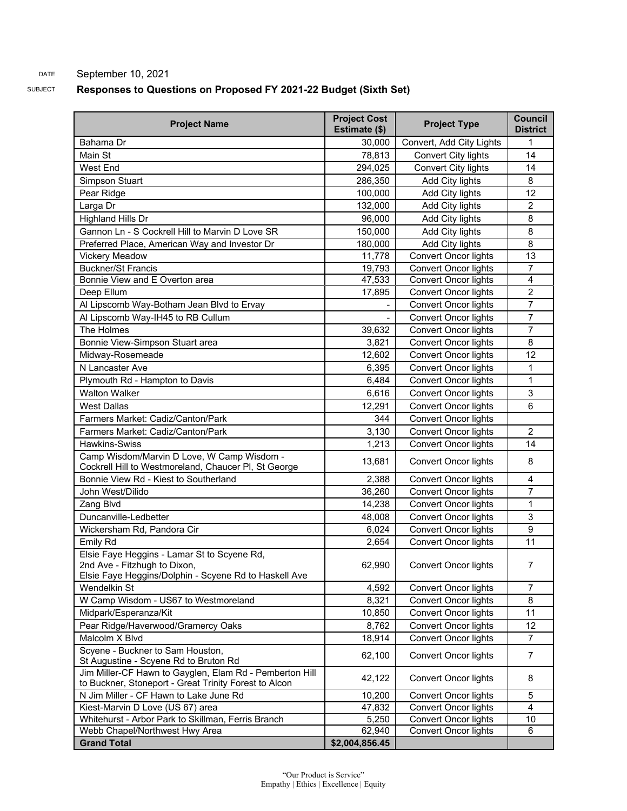#### DATE September 10, 2021

#### SUBJECT **Responses to Questions on Proposed FY 2021-22 Budget (Sixth Set)**

| <b>Project Name</b>                                                                                                                  | <b>Project Cost</b><br>Estimate (\$) | <b>Project Type</b>         | <b>Council</b><br><b>District</b> |
|--------------------------------------------------------------------------------------------------------------------------------------|--------------------------------------|-----------------------------|-----------------------------------|
| Bahama Dr                                                                                                                            | 30,000                               | Convert, Add City Lights    | 1                                 |
| Main St                                                                                                                              | 78,813                               | Convert City lights         | 14                                |
| West End                                                                                                                             | 294,025                              | Convert City lights         | 14                                |
| Simpson Stuart                                                                                                                       | 286,350                              | Add City lights             | 8                                 |
| Pear Ridge                                                                                                                           | 100,000                              | Add City lights             | 12                                |
| Larga Dr                                                                                                                             | 132,000                              | Add City lights             | $\overline{2}$                    |
| Highland Hills Dr                                                                                                                    | 96,000                               | Add City lights             | 8                                 |
| Gannon Ln - S Cockrell Hill to Marvin D Love SR                                                                                      | 150,000                              | Add City lights             | 8                                 |
| Preferred Place, American Way and Investor Dr                                                                                        | 180,000                              | Add City lights             | $\overline{8}$                    |
| <b>Vickery Meadow</b>                                                                                                                | 11,778                               | <b>Convert Oncor lights</b> | 13                                |
| <b>Buckner/St Francis</b>                                                                                                            |                                      | <b>Convert Oncor lights</b> | $\overline{7}$                    |
| Bonnie View and E Overton area                                                                                                       | 19,793                               |                             | $\overline{4}$                    |
|                                                                                                                                      | 47,533<br>17,895                     | Convert Oncor lights        | $\overline{2}$                    |
| Deep Ellum                                                                                                                           |                                      | <b>Convert Oncor lights</b> | $\overline{7}$                    |
| Al Lipscomb Way-Botham Jean Blvd to Ervay                                                                                            |                                      | <b>Convert Oncor lights</b> |                                   |
| Al Lipscomb Way-IH45 to RB Cullum                                                                                                    |                                      | <b>Convert Oncor lights</b> | $\overline{7}$                    |
| The Holmes                                                                                                                           | 39,632                               | <b>Convert Oncor lights</b> | $\overline{7}$                    |
| Bonnie View-Simpson Stuart area                                                                                                      | 3,821                                | <b>Convert Oncor lights</b> | 8                                 |
| Midway-Rosemeade                                                                                                                     | 12,602                               | <b>Convert Oncor lights</b> | 12                                |
| N Lancaster Ave                                                                                                                      | 6,395                                | <b>Convert Oncor lights</b> | 1                                 |
| Plymouth Rd - Hampton to Davis                                                                                                       | 6,484                                | <b>Convert Oncor lights</b> | 1                                 |
| <b>Walton Walker</b>                                                                                                                 | 6,616                                | <b>Convert Oncor lights</b> | 3                                 |
| <b>West Dallas</b>                                                                                                                   | 12,291                               | <b>Convert Oncor lights</b> | $\overline{6}$                    |
| Farmers Market: Cadiz/Canton/Park                                                                                                    | 344                                  | <b>Convert Oncor lights</b> |                                   |
| Farmers Market: Cadiz/Canton/Park                                                                                                    | 3,130                                | <b>Convert Oncor lights</b> | $\overline{2}$                    |
| <b>Hawkins-Swiss</b>                                                                                                                 | 1,213                                | <b>Convert Oncor lights</b> | 14                                |
| Camp Wisdom/Marvin D Love, W Camp Wisdom -<br>Cockrell Hill to Westmoreland, Chaucer PI, St George                                   | 13,681                               | <b>Convert Oncor lights</b> | 8                                 |
| Bonnie View Rd - Kiest to Southerland                                                                                                | 2,388                                | <b>Convert Oncor lights</b> | $\overline{4}$                    |
| John West/Dilido                                                                                                                     | 36,260                               | <b>Convert Oncor lights</b> | 7                                 |
| Zang Blvd                                                                                                                            | 14,238                               | <b>Convert Oncor lights</b> | 1                                 |
| Duncanville-Ledbetter                                                                                                                | 48,008                               | <b>Convert Oncor lights</b> | 3                                 |
| Wickersham Rd, Pandora Cir                                                                                                           | 6,024                                | <b>Convert Oncor lights</b> | 9                                 |
| Emily Rd                                                                                                                             | 2,654                                | <b>Convert Oncor lights</b> | 11                                |
| Elsie Faye Heggins - Lamar St to Scyene Rd,<br>2nd Ave - Fitzhugh to Dixon.<br>Elsie Faye Heggins/Dolphin - Scyene Rd to Haskell Ave | 62,990                               | Convert Oncor lights        | 7.                                |
| Wendelkin St                                                                                                                         | 4,592                                | <b>Convert Oncor lights</b> | $\overline{7}$                    |
| W Camp Wisdom - US67 to Westmoreland                                                                                                 | 8,321                                | <b>Convert Oncor lights</b> | 8                                 |
| Midpark/Esperanza/Kit                                                                                                                | 10,850                               | <b>Convert Oncor lights</b> | 11                                |
| Pear Ridge/Haverwood/Gramercy Oaks                                                                                                   | 8,762                                | Convert Oncor lights        | 12                                |
| Malcolm X Blvd                                                                                                                       | 18,914                               | <b>Convert Oncor lights</b> | $\overline{7}$                    |
| Scyene - Buckner to Sam Houston,                                                                                                     |                                      |                             |                                   |
| St Augustine - Scyene Rd to Bruton Rd                                                                                                | 62,100                               | <b>Convert Oncor lights</b> | $\overline{7}$                    |
| Jim Miller-CF Hawn to Gayglen, Elam Rd - Pemberton Hill<br>to Buckner, Stoneport - Great Trinity Forest to Alcon                     | 42,122                               | <b>Convert Oncor lights</b> | 8                                 |
| N Jim Miller - CF Hawn to Lake June Rd                                                                                               | 10,200                               | <b>Convert Oncor lights</b> | 5                                 |
| Kiest-Marvin D Love (US 67) area                                                                                                     | 47,832                               | <b>Convert Oncor lights</b> | $\overline{4}$                    |
| Whitehurst - Arbor Park to Skillman, Ferris Branch                                                                                   | 5,250                                | <b>Convert Oncor lights</b> | 10                                |
| Webb Chapel/Northwest Hwy Area                                                                                                       | 62,940                               | <b>Convert Oncor lights</b> | 6                                 |
| <b>Grand Total</b>                                                                                                                   | \$2,004,856.45                       |                             |                                   |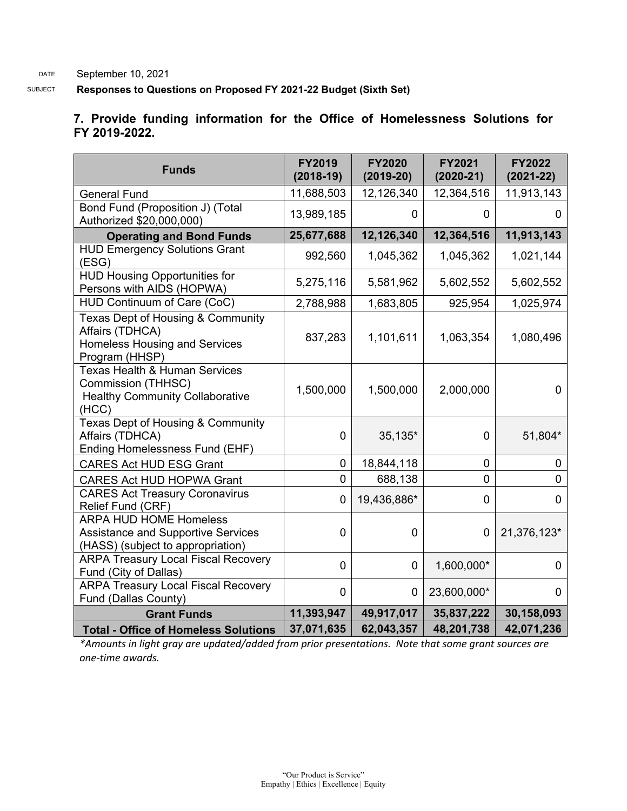DATE September 10, 2021

SUBJECT **Responses to Questions on Proposed FY 2021-22 Budget (Sixth Set)**

#### **7. Provide funding information for the Office of Homelessness Solutions for FY 2019-2022.**

| <b>Funds</b>                                                                                                      | <b>FY2019</b><br>$(2018-19)$ | <b>FY2020</b><br>$(2019-20)$ | <b>FY2021</b><br>$(2020 - 21)$ | <b>FY2022</b><br>$(2021 - 22)$ |
|-------------------------------------------------------------------------------------------------------------------|------------------------------|------------------------------|--------------------------------|--------------------------------|
| <b>General Fund</b>                                                                                               | 11,688,503                   | 12,126,340                   | 12,364,516                     | 11,913,143                     |
| Bond Fund (Proposition J) (Total<br>Authorized \$20,000,000)                                                      | 13,989,185                   | 0                            | 0                              | 0                              |
| <b>Operating and Bond Funds</b>                                                                                   | 25,677,688                   | 12,126,340                   | 12,364,516                     | 11,913,143                     |
| <b>HUD Emergency Solutions Grant</b><br>(ESG)                                                                     | 992,560                      | 1,045,362                    | 1,045,362                      | 1,021,144                      |
| <b>HUD Housing Opportunities for</b><br>Persons with AIDS (HOPWA)                                                 | 5,275,116                    | 5,581,962                    | 5,602,552                      | 5,602,552                      |
| HUD Continuum of Care (CoC)                                                                                       | 2,788,988                    | 1,683,805                    | 925,954                        | 1,025,974                      |
| Texas Dept of Housing & Community<br>Affairs (TDHCA)<br><b>Homeless Housing and Services</b><br>Program (HHSP)    | 837,283                      | 1,101,611                    | 1,063,354                      | 1,080,496                      |
| <b>Texas Health &amp; Human Services</b><br>Commission (THHSC)<br><b>Healthy Community Collaborative</b><br>(HCC) | 1,500,000                    | 1,500,000                    | 2,000,000                      | $\overline{0}$                 |
| Texas Dept of Housing & Community<br>Affairs (TDHCA)<br>Ending Homelessness Fund (EHF)                            | $\overline{0}$               | 35,135*                      | 0                              | 51,804*                        |
| <b>CARES Act HUD ESG Grant</b>                                                                                    | $\mathbf 0$                  | 18,844,118                   | $\mathbf 0$                    | $\mathbf 0$                    |
| <b>CARES Act HUD HOPWA Grant</b>                                                                                  | $\mathbf 0$                  | 688,138                      | $\mathbf 0$                    | $\mathbf 0$                    |
| <b>CARES Act Treasury Coronavirus</b><br>Relief Fund (CRF)                                                        | $\mathbf 0$                  | 19,436,886*                  | 0                              | $\mathbf 0$                    |
| <b>ARPA HUD HOME Homeless</b><br><b>Assistance and Supportive Services</b><br>(HASS) (subject to appropriation)   | $\mathbf{0}$                 | $\overline{0}$               | $\mathbf 0$                    | 21,376,123*                    |
| <b>ARPA Treasury Local Fiscal Recovery</b><br>Fund (City of Dallas)                                               | $\overline{0}$               | $\mathbf 0$                  | 1,600,000*                     | $\mathbf 0$                    |
| <b>ARPA Treasury Local Fiscal Recovery</b><br>Fund (Dallas County)                                                | $\mathbf 0$                  | 0                            | 23,600,000*                    | $\mathbf 0$                    |
| <b>Grant Funds</b>                                                                                                | 11,393,947                   | 49,917,017                   | 35,837,222                     | 30,158,093                     |
| <b>Total - Office of Homeless Solutions</b>                                                                       | 37,071,635                   | 62,043,357                   | 48,201,738                     | 42,071,236                     |

*\*Amounts in light gray are updated/added from prior presentations. Note that some grant sources are one-time awards.*